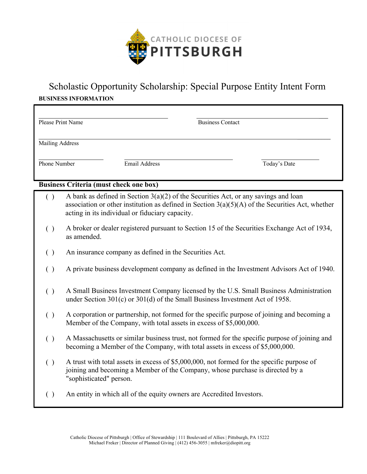

## Scholastic Opportunity Scholarship: Special Purpose Entity Intent Form **BUSINESS INFORMATION**

| Please Print Name      |               | <b>Business Contact</b> |              |
|------------------------|---------------|-------------------------|--------------|
| <b>Mailing Address</b> |               |                         |              |
| Phone Number           | Email Address |                         | Today's Date |

## **Business Criteria (must check one box)**

- ( ) A bank as defined in Section  $3(a)(2)$  of the Securities Act, or any savings and loan association or other institution as defined in Section  $3(a)(5)(A)$  of the Securities Act, whether acting in its individual or fiduciary capacity.
- ( ) A broker or dealer registered pursuant to Section 15 of the Securities Exchange Act of 1934, as amended.
- ( ) An insurance company as defined in the Securities Act.
- ( ) A private business development company as defined in the Investment Advisors Act of 1940.
- ( ) A Small Business Investment Company licensed by the U.S. Small Business Administration under Section 301(c) or 301(d) of the Small Business Investment Act of 1958.
- ( ) A corporation or partnership, not formed for the specific purpose of joining and becoming a Member of the Company, with total assets in excess of \$5,000,000.
- ( ) A Massachusetts or similar business trust, not formed for the specific purpose of joining and becoming a Member of the Company, with total assets in excess of \$5,000,000.
- ( ) A trust with total assets in excess of \$5,000,000, not formed for the specific purpose of joining and becoming a Member of the Company, whose purchase is directed by a "sophisticated" person.
- ( ) An entity in which all of the equity owners are Accredited Investors.